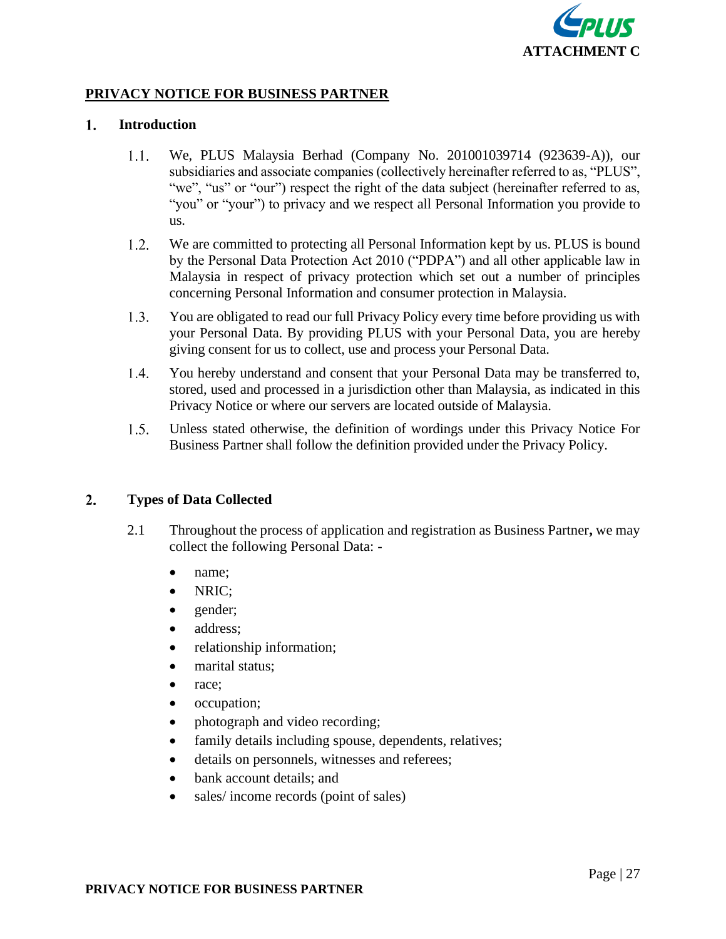

# **PRIVACY NOTICE FOR BUSINESS PARTNER**

#### $1.$ **Introduction**

- $1.1.$ We, PLUS Malaysia Berhad (Company No. 201001039714 (923639-A)), our subsidiaries and associate companies (collectively hereinafter referred to as, "PLUS", "we", "us" or "our") respect the right of the data subject (hereinafter referred to as, "you" or "your") to privacy and we respect all Personal Information you provide to us.
- $1.2.$ We are committed to protecting all Personal Information kept by us. PLUS is bound by the Personal Data Protection Act 2010 ("PDPA") and all other applicable law in Malaysia in respect of privacy protection which set out a number of principles concerning Personal Information and consumer protection in Malaysia.
- $1.3.$ You are obligated to read our full Privacy Policy every time before providing us with your Personal Data. By providing PLUS with your Personal Data, you are hereby giving consent for us to collect, use and process your Personal Data.
- $1.4.$ You hereby understand and consent that your Personal Data may be transferred to, stored, used and processed in a jurisdiction other than Malaysia, as indicated in this Privacy Notice or where our servers are located outside of Malaysia.
- $1.5.$ Unless stated otherwise, the definition of wordings under this Privacy Notice For Business Partner shall follow the definition provided under the Privacy Policy.

#### $2.$ **Types of Data Collected**

- 2.1 Throughout the process of application and registration as Business Partner**,** we may collect the following Personal Data: -
	- name;
	- NRIC;
	- gender;
	- address:
	- relationship information;
	- marital status;
	- race:
	- occupation;
	- photograph and video recording;
	- family details including spouse, dependents, relatives;
	- details on personnels, witnesses and referees;
	- bank account details; and
	- sales/ income records (point of sales)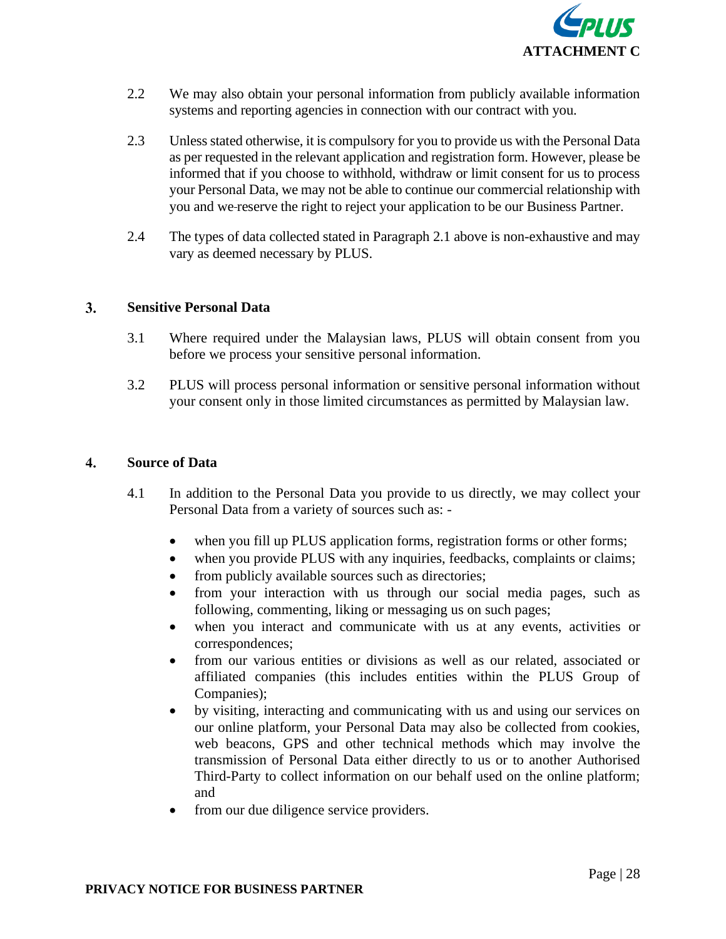

- 2.2 We may also obtain your personal information from publicly available information systems and reporting agencies in connection with our contract with you.
- 2.3 Unless stated otherwise, it is compulsory for you to provide us with the Personal Data as per requested in the relevant application and registration form. However, please be informed that if you choose to withhold, withdraw or limit consent for us to process your Personal Data, we may not be able to continue our commercial relationship with you and we reserve the right to reject your application to be our Business Partner.
- 2.4 The types of data collected stated in Paragraph 2.1 above is non-exhaustive and may vary as deemed necessary by PLUS.

#### $3.$ **Sensitive Personal Data**

- 3.1 Where required under the Malaysian laws, PLUS will obtain consent from you before we process your sensitive personal information.
- 3.2 PLUS will process personal information or sensitive personal information without your consent only in those limited circumstances as permitted by Malaysian law.

#### $\overline{4}$ . **Source of Data**

- 4.1 In addition to the Personal Data you provide to us directly, we may collect your Personal Data from a variety of sources such as:
	- when you fill up PLUS application forms, registration forms or other forms;
	- when you provide PLUS with any inquiries, feedbacks, complaints or claims;
	- from publicly available sources such as directories;
	- from your interaction with us through our social media pages, such as following, commenting, liking or messaging us on such pages;
	- when you interact and communicate with us at any events, activities or correspondences;
	- from our various entities or divisions as well as our related, associated or affiliated companies (this includes entities within the PLUS Group of Companies);
	- by visiting, interacting and communicating with us and using our services on our online platform, your Personal Data may also be collected from cookies, web beacons, GPS and other technical methods which may involve the transmission of Personal Data either directly to us or to another Authorised Third-Party to collect information on our behalf used on the online platform; and
	- from our due diligence service providers.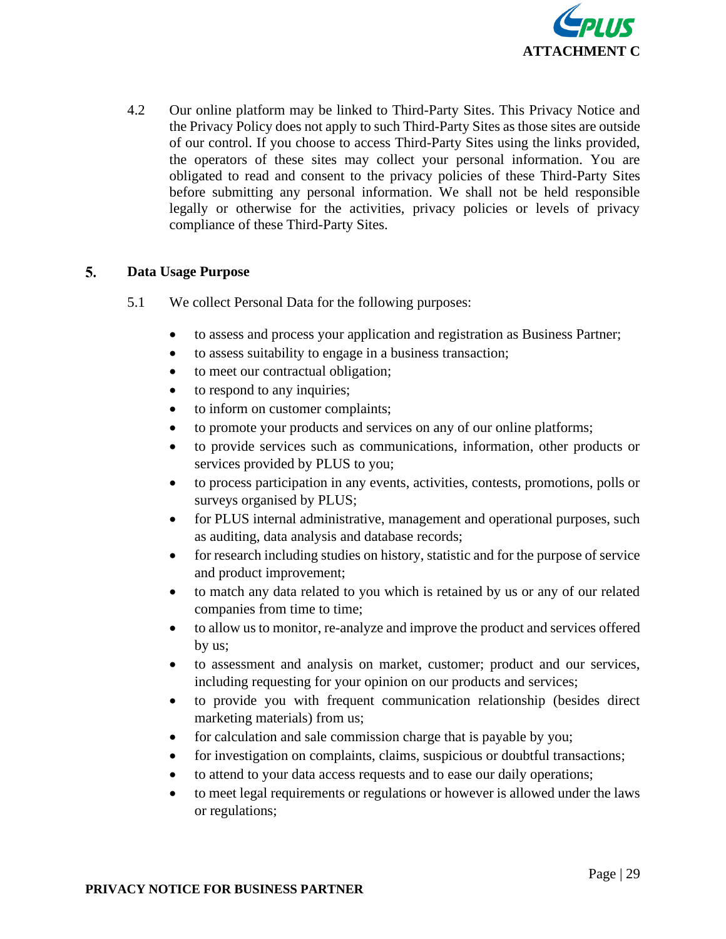

4.2 Our online platform may be linked to Third-Party Sites. This Privacy Notice and the Privacy Policy does not apply to such Third-Party Sites as those sites are outside of our control. If you choose to access Third-Party Sites using the links provided, the operators of these sites may collect your personal information. You are obligated to read and consent to the privacy policies of these Third-Party Sites before submitting any personal information. We shall not be held responsible legally or otherwise for the activities, privacy policies or levels of privacy compliance of these Third-Party Sites.

### 5. **Data Usage Purpose**

- 5.1 We collect Personal Data for the following purposes:
	- to assess and process your application and registration as Business Partner;
	- to assess suitability to engage in a business transaction;
	- to meet our contractual obligation;
	- to respond to any inquiries;
	- to inform on customer complaints;
	- to promote your products and services on any of our online platforms;
	- to provide services such as communications, information, other products or services provided by PLUS to you;
	- to process participation in any events, activities, contests, promotions, polls or surveys organised by PLUS;
	- for PLUS internal administrative, management and operational purposes, such as auditing, data analysis and database records;
	- for research including studies on history, statistic and for the purpose of service and product improvement;
	- to match any data related to you which is retained by us or any of our related companies from time to time;
	- to allow us to monitor, re-analyze and improve the product and services offered by us;
	- to assessment and analysis on market, customer; product and our services, including requesting for your opinion on our products and services;
	- to provide you with frequent communication relationship (besides direct marketing materials) from us;
	- for calculation and sale commission charge that is payable by you;
	- for investigation on complaints, claims, suspicious or doubtful transactions;
	- to attend to your data access requests and to ease our daily operations;
	- to meet legal requirements or regulations or however is allowed under the laws or regulations;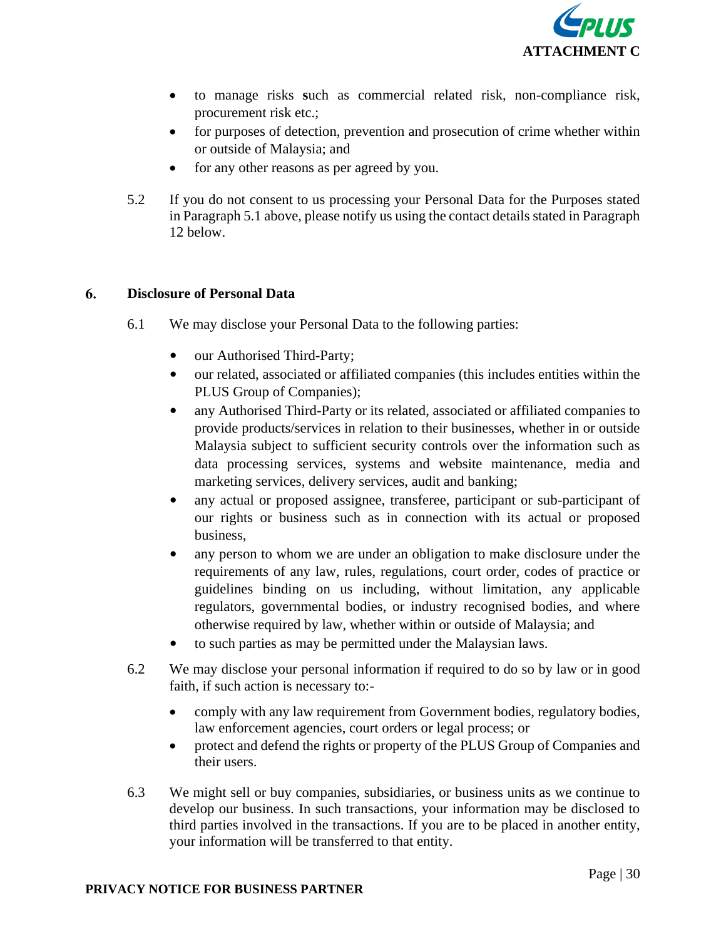

- to manage risks **s**uch as commercial related risk, non-compliance risk, procurement risk etc.;
- for purposes of detection, prevention and prosecution of crime whether within or outside of Malaysia; and
- for any other reasons as per agreed by you.
- 5.2 If you do not consent to us processing your Personal Data for the Purposes stated in Paragraph 5.1 above, please notify us using the contact details stated in Paragraph 12 below.

### 6. **Disclosure of Personal Data**

- 6.1 We may disclose your Personal Data to the following parties:
	- our Authorised Third-Party;
	- our related, associated or affiliated companies (this includes entities within the PLUS Group of Companies);
	- any Authorised Third-Party or its related, associated or affiliated companies to provide products/services in relation to their businesses, whether in or outside Malaysia subject to sufficient security controls over the information such as data processing services, systems and website maintenance, media and marketing services, delivery services, audit and banking;
	- any actual or proposed assignee, transferee, participant or sub-participant of our rights or business such as in connection with its actual or proposed business,
	- any person to whom we are under an obligation to make disclosure under the requirements of any law, rules, regulations, court order, codes of practice or guidelines binding on us including, without limitation, any applicable regulators, governmental bodies, or industry recognised bodies, and where otherwise required by law, whether within or outside of Malaysia; and
	- to such parties as may be permitted under the Malaysian laws.
- 6.2 We may disclose your personal information if required to do so by law or in good faith, if such action is necessary to:-
	- comply with any law requirement from Government bodies, regulatory bodies, law enforcement agencies, court orders or legal process; or
	- protect and defend the rights or property of the PLUS Group of Companies and their users.
- 6.3 We might sell or buy companies, subsidiaries, or business units as we continue to develop our business. In such transactions, your information may be disclosed to third parties involved in the transactions. If you are to be placed in another entity, your information will be transferred to that entity.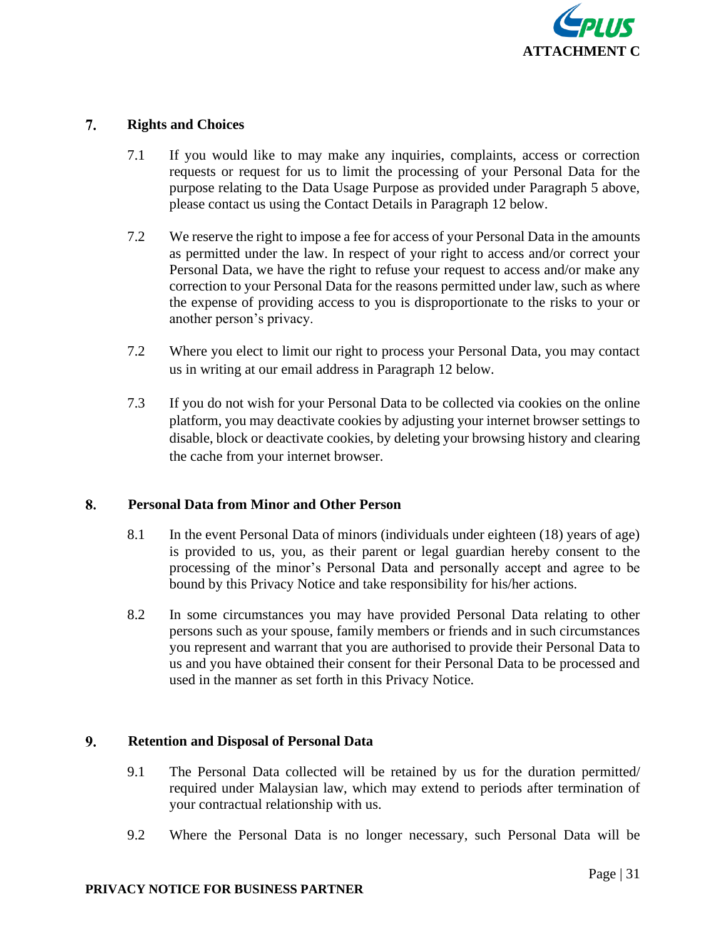

#### $7.$ **Rights and Choices**

- 7.1 If you would like to may make any inquiries, complaints, access or correction requests or request for us to limit the processing of your Personal Data for the purpose relating to the Data Usage Purpose as provided under Paragraph 5 above, please contact us using the Contact Details in Paragraph 12 below.
- 7.2 We reserve the right to impose a fee for access of your Personal Data in the amounts as permitted under the law. In respect of your right to access and/or correct your Personal Data, we have the right to refuse your request to access and/or make any correction to your Personal Data for the reasons permitted under law, such as where the expense of providing access to you is disproportionate to the risks to your or another person's privacy.
- 7.2 Where you elect to limit our right to process your Personal Data, you may contact us in writing at our email address in Paragraph 12 below.
- 7.3 If you do not wish for your Personal Data to be collected via cookies on the online platform, you may deactivate cookies by adjusting your internet browser settings to disable, block or deactivate cookies, by deleting your browsing history and clearing the cache from your internet browser.

# 8. **Personal Data from Minor and Other Person**

- 8.1 In the event Personal Data of minors (individuals under eighteen (18) years of age) is provided to us, you, as their parent or legal guardian hereby consent to the processing of the minor's Personal Data and personally accept and agree to be bound by this Privacy Notice and take responsibility for his/her actions.
- 8.2 In some circumstances you may have provided Personal Data relating to other persons such as your spouse, family members or friends and in such circumstances you represent and warrant that you are authorised to provide their Personal Data to us and you have obtained their consent for their Personal Data to be processed and used in the manner as set forth in this Privacy Notice.

# $9.$ **Retention and Disposal of Personal Data**

- 9.1 The Personal Data collected will be retained by us for the duration permitted/ required under Malaysian law, which may extend to periods after termination of your contractual relationship with us.
- 9.2 Where the Personal Data is no longer necessary, such Personal Data will be

# **PRIVACY NOTICE FOR BUSINESS PARTNER**